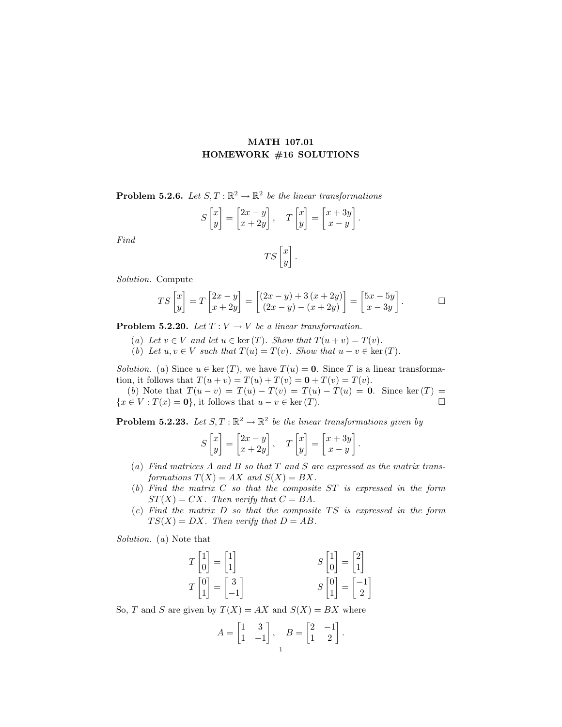## MATH 107.01 HOMEWORK #16 SOLUTIONS

**Problem 5.2.6.** Let  $S, T : \mathbb{R}^2 \to \mathbb{R}^2$  be the linear transformations

$$
S\begin{bmatrix} x \\ y \end{bmatrix} = \begin{bmatrix} 2x - y \\ x + 2y \end{bmatrix}, \quad T\begin{bmatrix} x \\ y \end{bmatrix} = \begin{bmatrix} x + 3y \\ x - y \end{bmatrix}.
$$

Find

$$
TS\begin{bmatrix} x \\ y \end{bmatrix}.
$$

Solution. Compute

$$
TS\begin{bmatrix} x \\ y \end{bmatrix} = T\begin{bmatrix} 2x - y \\ x + 2y \end{bmatrix} = \begin{bmatrix} (2x - y) + 3(x + 2y) \\ (2x - y) - (x + 2y) \end{bmatrix} = \begin{bmatrix} 5x - 5y \\ x - 3y \end{bmatrix}.
$$

**Problem 5.2.20.** Let  $T: V \to V$  be a linear transformation.

- (a) Let  $v \in V$  and let  $u \in \text{ker}(T)$ . Show that  $T(u + v) = T(v)$ .
- (b) Let  $u, v \in V$  such that  $T(u) = T(v)$ . Show that  $u v \in \text{ker}(T)$ .

Solution. (a) Since  $u \in \text{ker}(T)$ , we have  $T(u) = 0$ . Since T is a linear transformation, it follows that  $T(u + v) = T(u) + T(v) = \mathbf{0} + T(v) = T(v)$ .

(b) Note that  $T(u - v) = T(u) - T(v) = T(u) - T(u) = 0$ . Since ker  $(T) =$  $\{x \in V : T(x) = 0\}$ , it follows that  $u - v \in \text{ker}(T)$ .

**Problem 5.2.23.** Let  $S, T : \mathbb{R}^2 \to \mathbb{R}^2$  be the linear transformations given by

$$
S\begin{bmatrix} x \\ y \end{bmatrix} = \begin{bmatrix} 2x - y \\ x + 2y \end{bmatrix}, \quad T\begin{bmatrix} x \\ y \end{bmatrix} = \begin{bmatrix} x + 3y \\ x - y \end{bmatrix}.
$$

- (a) Find matrices A and B so that  $T$  and  $S$  are expressed as the matrix transformations  $T(X) = AX$  and  $S(X) = BX$ .
- (b) Find the matrix C so that the composite ST is expressed in the form  $ST(X) = CX$ . Then verify that  $C = BA$ .
- $(c)$  Find the matrix D so that the composite TS is expressed in the form  $TS(X) = DX$ . Then verify that  $D = AB$ .

Solution. (a) Note that

$$
T\begin{bmatrix} 1 \\ 0 \end{bmatrix} = \begin{bmatrix} 1 \\ 1 \end{bmatrix}
$$

$$
T\begin{bmatrix} 0 \\ 1 \end{bmatrix} = \begin{bmatrix} 3 \\ -1 \end{bmatrix}
$$

$$
S\begin{bmatrix} 1 \\ 0 \end{bmatrix} = \begin{bmatrix} 2 \\ 1 \end{bmatrix}
$$

$$
S\begin{bmatrix} 0 \\ 1 \end{bmatrix} = \begin{bmatrix} -1 \\ 2 \end{bmatrix}
$$

So, T and S are given by  $T(X) = AX$  and  $S(X) = BX$  where

$$
A = \begin{bmatrix} 1 & 3 \\ 1 & -1 \end{bmatrix}, \quad B = \begin{bmatrix} 2 & -1 \\ 1 & 2 \end{bmatrix}.
$$